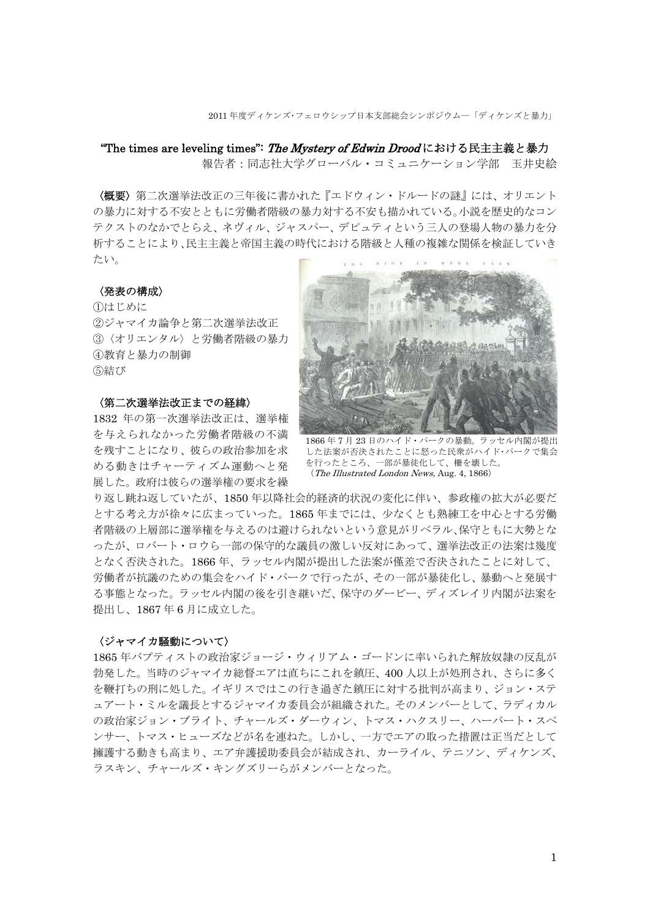2011 年度ディケンズ・フェロウシップ日本支部総会シンポジウム―「ディケンズと暴力」

## "The times are leveling times": The Mystery of Edwin Droodにおける民主主義と暴力 報告者:同志社大学グローバル・コミュニケーション学部 玉井史絵

〈概要〉第二次選挙法改正の三年後に書かれた『エドウィン・ドルードの謎』には、オリエント の暴力に対する不安とともに労働者階級の暴力対する不安も描かれている。小説を歴史的なコン テクストのなかでとらえ、ネヴィル、ジャスパー、デピュティという三人の登場人物の暴力を分 析することにより、民主主義と帝国主義の時代における階級と人種の複雑な関係を検証していき たい。

#### 〈発表の構成〉

①はじめに ②ジャマイカ論争と第二次選挙法改正 ③〈オリエンタル〉と労働者階級の暴力 ④教育と暴力の制御 ⑤結び

## 〈第二次選挙法改正までの経緯〉

1832 年の第一次選挙法改正は、選挙権 を与えられなかった労働者階級の不満 を残すことになり、彼らの政治参加を求 める動きはチャーティズム運動へと発 展した。政府は彼らの選挙権の要求を繰



1866 年 7 月 23 日のハイド・パークの暴動。ラッセル内閣が提出 した法案が否決されたことに怒った民衆がハイド・パークで集会 を行ったところ、一部が暴徒化して、柵を壊した。 (The Illustrated London News, Aug. 4, 1866)

り返し跳ね返していたが、1850 年以降社会的経済的状況の変化に伴い、参政権の拡大が必要だ とする考え方が徐々に広まっていった。1865 年までには、少なくとも熟練工を中心とする労働 者階級の上層部に選挙権を与えるのは避けられないという意見がリベラル、保守ともに大勢とな ったが、ロバート・ロウら一部の保守的な議員の激しい反対にあって、選挙法改正の法案は幾度 となく否決された。1866 年、ラッセル内閣が提出した法案が僅差で否決されたことに対して、 労働者が抗議のための集会をハイド・パークで行ったが、その一部が暴徒化し、暴動へと発展す る事態となった。ラッセル内閣の後を引き継いだ、保守のダービー、ディズレイリ内閣が法案を 提出し、1867 年 6 月に成立した。

### 〈ジャマイカ騒動について〉

1865 年バプティストの政治家ジョージ・ウィリアム・ゴードンに率いられた解放奴隷の反乱が 勃発した。当時のジャマイカ総督エアは直ちにこれを鎮圧、400 人以上が処刑され、さらに多く を鞭打ちの刑に処した。イギリスではこの行き過ぎた鎮圧に対する批判が高まり、ジョン・ステ ュアート・ミルを議長とするジャマイカ委員会が組織された。そのメンバーとして、ラディカル の政治家ジョン・ブライト、チャールズ・ダーウィン、トマス・ハクスリー、ハーバート・スペ ンサー、トマス・ヒューズなどが名を連ねた。しかし、一方でエアの取った措置は正当だとして 擁護する動きも高まり、エア弁護援助委員会が結成され、カーライル、テニソン、ディケンズ、 ラスキン、チャールズ・キングズリーらがメンバーとなった。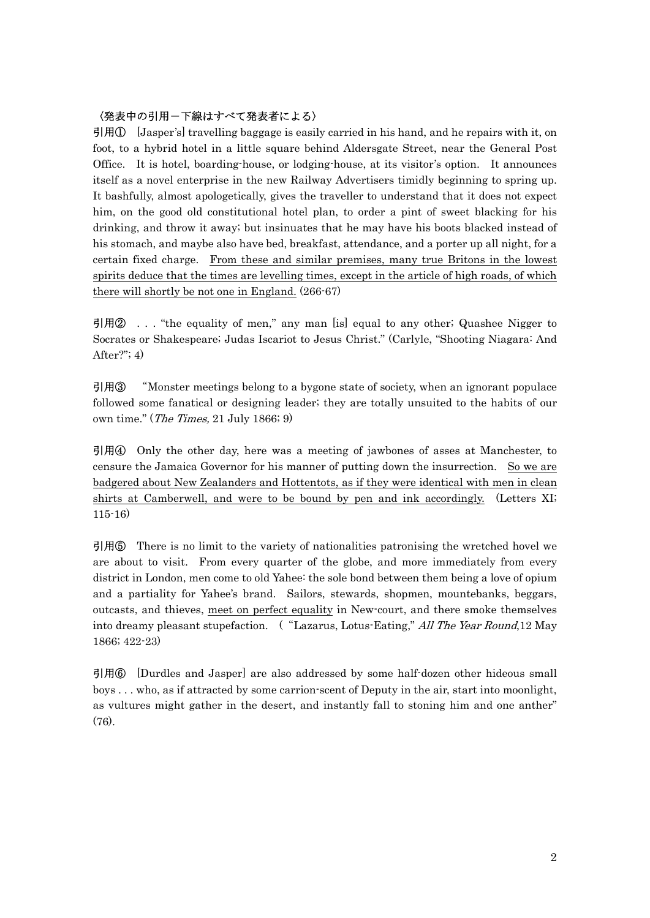# 〈発表中の引用-下線はすべて発表者による〉

引用① [Jasper's] travelling baggage is easily carried in his hand, and he repairs with it, on foot, to a hybrid hotel in a little square behind Aldersgate Street, near the General Post Office. It is hotel, boarding-house, or lodging-house, at its visitor's option. It announces itself as a novel enterprise in the new Railway Advertisers timidly beginning to spring up. It bashfully, almost apologetically, gives the traveller to understand that it does not expect him, on the good old constitutional hotel plan, to order a pint of sweet blacking for his drinking, and throw it away; but insinuates that he may have his boots blacked instead of his stomach, and maybe also have bed, breakfast, attendance, and a porter up all night, for a certain fixed charge. From these and similar premises, many true Britons in the lowest spirits deduce that the times are levelling times, except in the article of high roads, of which there will shortly be not one in England. (266-67)

引用② . . . "the equality of men," any man [is] equal to any other; Quashee Nigger to Socrates or Shakespeare; Judas Iscariot to Jesus Christ." (Carlyle, "Shooting Niagara: And After?"; 4)

引用③ "Monster meetings belong to a bygone state of society, when an ignorant populace followed some fanatical or designing leader; they are totally unsuited to the habits of our own time." (*The Times*, 21 July 1866; 9)

引用④ Only the other day, here was a meeting of jawbones of asses at Manchester, to censure the Jamaica Governor for his manner of putting down the insurrection. So we are badgered about New Zealanders and Hottentots, as if they were identical with men in clean shirts at Camberwell, and were to be bound by pen and ink accordingly. (Letters XI; 115-16)

引用⑤ There is no limit to the variety of nationalities patronising the wretched hovel we are about to visit. From every quarter of the globe, and more immediately from every district in London, men come to old Yahee: the sole bond between them being a love of opium and a partiality for Yahee's brand. Sailors, stewards, shopmen, mountebanks, beggars, outcasts, and thieves, meet on perfect equality in New-court, and there smoke themselves into dreamy pleasant stupefaction. ("Lazarus, Lotus-Eating," All The Year Round,12 May 1866; 422-23)

引用⑥ [Durdles and Jasper] are also addressed by some half-dozen other hideous small boys . . . who, as if attracted by some carrion-scent of Deputy in the air, start into moonlight, as vultures might gather in the desert, and instantly fall to stoning him and one anther" (76).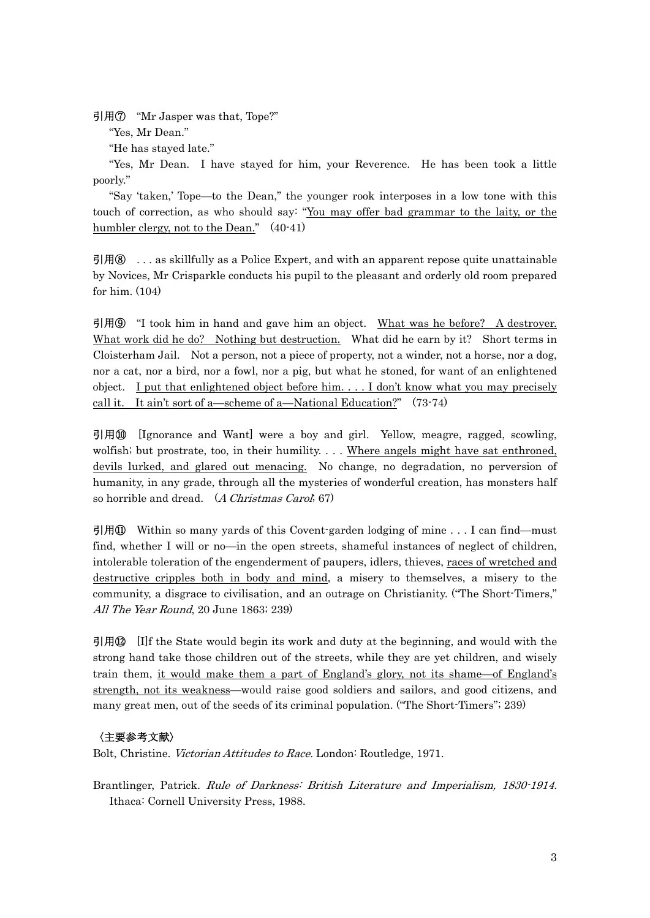引用⑦ "Mr Jasper was that, Tope?"

"Yes, Mr Dean."

"He has stayed late."

 "Yes, Mr Dean. I have stayed for him, your Reverence. He has been took a little poorly."

 "Say 'taken,' Tope—to the Dean," the younger rook interposes in a low tone with this touch of correction, as who should say: "You may offer bad grammar to the laity, or the humbler clergy, not to the Dean." (40-41)

引用⑧ . . . as skillfully as a Police Expert, and with an apparent repose quite unattainable by Novices, Mr Crisparkle conducts his pupil to the pleasant and orderly old room prepared for him. (104)

引用<sup>③</sup> "I took him in hand and gave him an object. What was he before? A destroyer. What work did he do? Nothing but destruction. What did he earn by it? Short terms in Cloisterham Jail. Not a person, not a piece of property, not a winder, not a horse, nor a dog, nor a cat, nor a bird, nor a fowl, nor a pig, but what he stoned, for want of an enlightened object. I put that enlightened object before him. . . . I don't know what you may precisely call it. It ain't sort of a—scheme of a—National Education?" (73-74)

引用⑩ [Ignorance and Want] were a boy and girl. Yellow, meagre, ragged, scowling, wolfish; but prostrate, too, in their humility. . . . Where angels might have sat enthroned, devils lurked, and glared out menacing. No change, no degradation, no perversion of humanity, in any grade, through all the mysteries of wonderful creation, has monsters half so horrible and dread. (A Christmas Carol; 67)

引用⑪ Within so many yards of this Covent-garden lodging of mine . . . I can find—must find, whether I will or no—in the open streets, shameful instances of neglect of children, intolerable toleration of the engenderment of paupers, idlers, thieves, races of wretched and destructive cripples both in body and mind, a misery to themselves, a misery to the community, a disgrace to civilisation, and an outrage on Christianity. ("The Short-Timers," All The Year Round, 20 June 1863; 239)

引用⑫  $[I]$ f the State would begin its work and duty at the beginning, and would with the strong hand take those children out of the streets, while they are yet children, and wisely train them, it would make them a part of England's glory, not its shame—of England's strength, not its weakness—would raise good soldiers and sailors, and good citizens, and many great men, out of the seeds of its criminal population. ("The Short-Timers"; 239)

## 〈主要参考文献〉

Bolt, Christine. Victorian Attitudes to Race. London: Routledge, 1971.

Brantlinger, Patrick. Rule of Darkness: British Literature and Imperialism, 1830-1914. Ithaca: Cornell University Press, 1988.